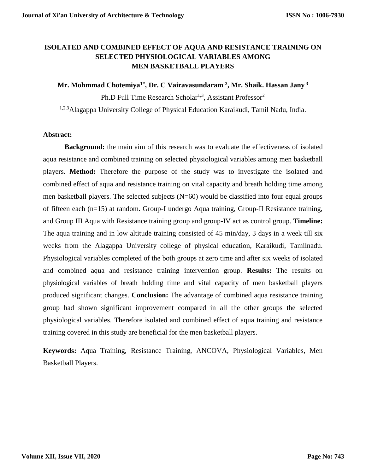## **ISOLATED AND COMBINED EFFECT OF AQUA AND RESISTANCE TRAINING ON SELECTED PHYSIOLOGICAL VARIABLES AMONG MEN BASKETBALL PLAYERS**

**Mr. Mohmmad Chotemiya1\* , Dr. C Vairavasundaram <sup>2</sup> , Mr. Shaik. Hassan Jany <sup>3</sup>**

Ph.D Full Time Research Scholar<sup>1,3</sup>, Assistant Professor<sup>2</sup> 1,2,3Alagappa University College of Physical Education Karaikudi, Tamil Nadu, India.

## **Abstract:**

**Background:** the main aim of this research was to evaluate the effectiveness of isolated aqua resistance and combined training on selected physiological variables among men basketball players. **Method:** Therefore the purpose of the study was to investigate the isolated and combined effect of aqua and resistance training on vital capacity and breath holding time among men basketball players. The selected subjects (N=60) would be classified into four equal groups of fifteen each (n=15) at random. Group-I undergo Aqua training, Group-II Resistance training, and Group III Aqua with Resistance training group and group-IV act as control group. **Timeline:**  The aqua training and in low altitude training consisted of 45 min/day, 3 days in a week till six weeks from the Alagappa University college of physical education, Karaikudi, Tamilnadu. Physiological variables completed of the both groups at zero time and after six weeks of isolated and combined aqua and resistance training intervention group. **Results:** The results on physiological variables of breath holding time and vital capacity of men basketball players produced significant changes. **Conclusion:** The advantage of combined aqua resistance training group had shown significant improvement compared in all the other groups the selected physiological variables. Therefore isolated and combined effect of aqua training and resistance training covered in this study are beneficial for the men basketball players.

**Keywords:** Aqua Training, Resistance Training, ANCOVA, Physiological Variables, Men Basketball Players.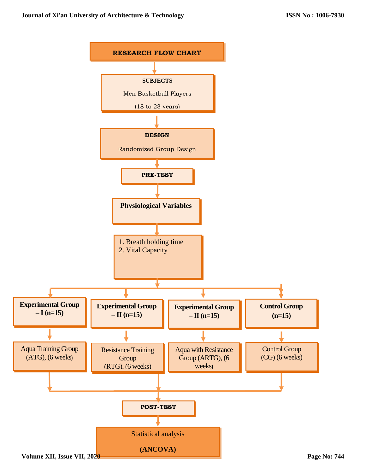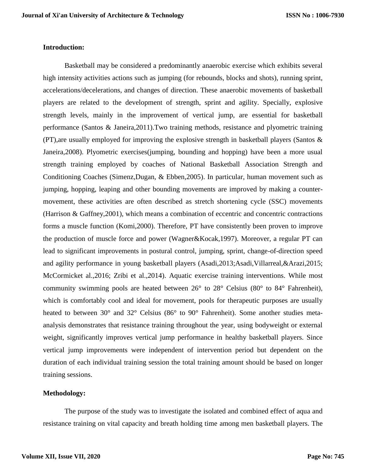#### **Introduction:**

Basketball may be considered a predominantly anaerobic exercise which exhibits several high intensity activities actions such as jumping (for rebounds, blocks and shots), running sprint, accelerations/decelerations, and changes of direction. These anaerobic movements of basketball players are related to the development of strength, sprint and agility. Specially, explosive strength levels, mainly in the improvement of vertical jump, are essential for basketball performance (Santos & Janeira,2011).Two training methods, resistance and plyometric training (PT),are usually employed for improving the explosive strength in basketball players (Santos & Janeira,2008). Plyometric exercises(jumping, bounding and hopping) have been a more usual strength training employed by coaches of National Basketball Association Strength and Conditioning Coaches (Simenz,Dugan, & Ebben,2005). In particular, human movement such as jumping, hopping, leaping and other bounding movements are improved by making a countermovement, these activities are often described as stretch shortening cycle (SSC) movements (Harrison & Gaffney,2001), which means a combination of eccentric and concentric contractions forms a muscle function (Komi,2000). Therefore, PT have consistently been proven to improve the production of muscle force and power (Wagner&Kocak,1997). Moreover, a regular PT can lead to significant improvements in postural control, jumping, sprint, change-of-direction speed and agility performance in young basketball players (Asadi,2013;Asadi,Villarreal,&Arazi,2015; McCormicket al.,2016; Zribi et al.,2014). Aquatic exercise training interventions. While most community swimming pools are heated between 26° to 28° Celsius (80° to 84° Fahrenheit), which is comfortably cool and ideal for movement, pools for therapeutic purposes are usually heated to between 30° and 32° Celsius (86° to 90° Fahrenheit). Some another studies metaanalysis demonstrates that resistance training throughout the year, using bodyweight or external weight, significantly improves vertical jump performance in healthy basketball players. Since vertical jump improvements were independent of intervention period but dependent on the duration of each individual training session the total training amount should be based on longer training sessions.

#### **Methodology:**

The purpose of the study was to investigate the isolated and combined effect of aqua and resistance training on vital capacity and breath holding time among men basketball players. The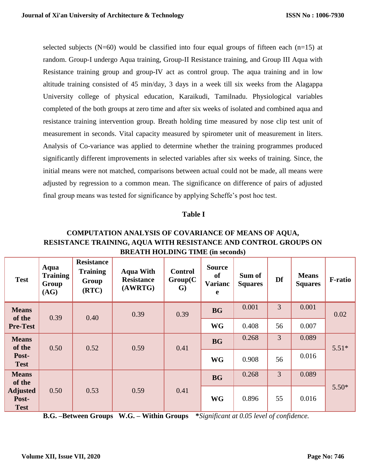selected subjects (N=60) would be classified into four equal groups of fifteen each (n=15) at random. Group-I undergo Aqua training, Group-II Resistance training, and Group III Aqua with Resistance training group and group-IV act as control group. The aqua training and in low altitude training consisted of 45 min/day, 3 days in a week till six weeks from the Alagappa University college of physical education, Karaikudi, Tamilnadu. Physiological variables completed of the both groups at zero time and after six weeks of isolated and combined aqua and resistance training intervention group. Breath holding time measured by nose clip test unit of measurement in seconds. Vital capacity measured by spirometer unit of measurement in liters. Analysis of Co-variance was applied to determine whether the training programmes produced significantly different improvements in selected variables after six weeks of training. Since, the initial means were not matched, comparisons between actual could not be made, all means were adjusted by regression to a common mean. The significance on difference of pairs of adjusted final group means was tested for significance by applying Scheffe's post hoc test.

#### **Table I**

## **COMPUTATION ANALYSIS OF COVARIANCE OF MEANS OF AQUA, RESISTANCE TRAINING, AQUA WITH RESISTANCE AND CONTROL GROUPS ON BREATH HOLDING TIME (in seconds)**

| <b>Test</b>                             | Aqua<br><b>Training</b><br>Group<br>(AG) | <b>Resistance</b><br><b>Training</b><br>Group<br>(RTC) | <b>Aqua With</b><br><b>Resistance</b><br>(AWRTG) | <b>Control</b><br>Group(C)<br>$\mathbf{G}$ | <b>Source</b><br><b>of</b><br><b>Varianc</b><br>e | Sum of<br><b>Squares</b> | Df             | <b>Means</b><br><b>Squares</b> | <b>F-ratio</b> |
|-----------------------------------------|------------------------------------------|--------------------------------------------------------|--------------------------------------------------|--------------------------------------------|---------------------------------------------------|--------------------------|----------------|--------------------------------|----------------|
| <b>Means</b><br>of the                  | 0.39                                     | 0.40                                                   | 0.39                                             | 0.39                                       | <b>BG</b>                                         | 0.001                    | $\overline{3}$ | 0.001                          | 0.02           |
| <b>Pre-Test</b>                         |                                          |                                                        |                                                  |                                            | <b>WG</b>                                         | 0.408                    | 56             | 0.007                          |                |
| <b>Means</b><br>of the                  | 0.50                                     | 0.52                                                   | 0.59                                             | 0.41                                       | <b>BG</b>                                         | 0.268                    | $\overline{3}$ | 0.089                          | $5.51*$        |
| Post-<br><b>Test</b>                    |                                          |                                                        |                                                  |                                            | <b>WG</b>                                         | 0.908                    | 56             | 0.016                          |                |
| <b>Means</b><br>of the                  |                                          |                                                        |                                                  |                                            | <b>BG</b>                                         | 0.268                    | 3              | 0.089                          |                |
| <b>Adjusted</b><br>Post-<br><b>Test</b> | 0.50                                     | 0.53                                                   | 0.59                                             | 0.41                                       | <b>WG</b>                                         | 0.896                    | 55             | 0.016                          | $5.50*$        |

**B.G. –Between Groups W.G. – Within Groups \****Significant at 0.05 level of confidence.*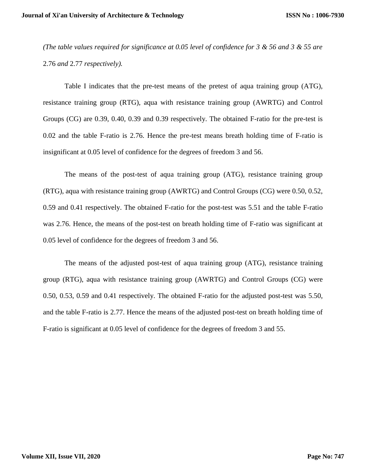*(The table values required for significance at 0.05 level of confidence for 3 & 56 and 3 & 55 are*  2.76 *and* 2.77 *respectively).*

Table I indicates that the pre-test means of the pretest of aqua training group (ATG), resistance training group (RTG), aqua with resistance training group (AWRTG) and Control Groups (CG) are 0.39, 0.40, 0.39 and 0.39 respectively. The obtained F-ratio for the pre-test is 0.02 and the table F-ratio is 2.76. Hence the pre-test means breath holding time of F-ratio is insignificant at 0.05 level of confidence for the degrees of freedom 3 and 56.

The means of the post-test of aqua training group (ATG), resistance training group (RTG), aqua with resistance training group (AWRTG) and Control Groups (CG) were 0.50, 0.52, 0.59 and 0.41 respectively. The obtained F-ratio for the post-test was 5.51 and the table F-ratio was 2.76. Hence, the means of the post-test on breath holding time of F-ratio was significant at 0.05 level of confidence for the degrees of freedom 3 and 56.

The means of the adjusted post-test of aqua training group (ATG), resistance training group (RTG), aqua with resistance training group (AWRTG) and Control Groups (CG) were 0.50, 0.53, 0.59 and 0.41 respectively. The obtained F-ratio for the adjusted post-test was 5.50, and the table F-ratio is 2.77. Hence the means of the adjusted post-test on breath holding time of F-ratio is significant at 0.05 level of confidence for the degrees of freedom 3 and 55.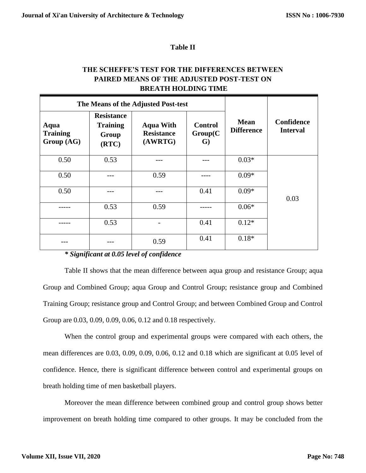### **Table II**

## **THE SCHEFFE'S TEST FOR THE DIFFERENCES BETWEEN PAIRED MEANS OF THE ADJUSTED POST-TEST ON BREATH HOLDING TIME**

|                                       |                                                        | The Means of the Adjusted Post-test              |                                            |                                  |                               |
|---------------------------------------|--------------------------------------------------------|--------------------------------------------------|--------------------------------------------|----------------------------------|-------------------------------|
| Aqua<br><b>Training</b><br>Group (AG) | <b>Resistance</b><br><b>Training</b><br>Group<br>(RTC) | <b>Aqua With</b><br><b>Resistance</b><br>(AWRTG) | <b>Control</b><br>Group(C)<br>$\mathbf{G}$ | <b>Mean</b><br><b>Difference</b> | Confidence<br><b>Interval</b> |
| 0.50                                  | 0.53                                                   |                                                  |                                            | $0.03*$                          |                               |
| 0.50                                  |                                                        | 0.59                                             |                                            | $0.09*$                          |                               |
| 0.50                                  |                                                        |                                                  | 0.41                                       | $0.09*$                          | 0.03                          |
|                                       | 0.53                                                   | 0.59                                             |                                            | $0.06*$                          |                               |
|                                       | 0.53                                                   |                                                  | 0.41                                       | $0.12*$                          |                               |
|                                       |                                                        | 0.59                                             | 0.41                                       | $0.18*$                          |                               |

# *\* Significant at 0.05 level of confidence*

Table II shows that the mean difference between aqua group and resistance Group; aqua Group and Combined Group; aqua Group and Control Group; resistance group and Combined Training Group; resistance group and Control Group; and between Combined Group and Control Group are 0.03, 0.09, 0.09, 0.06, 0.12 and 0.18 respectively.

When the control group and experimental groups were compared with each others, the mean differences are 0.03, 0.09, 0.09, 0.06, 0.12 and 0.18 which are significant at 0.05 level of confidence. Hence, there is significant difference between control and experimental groups on breath holding time of men basketball players.

Moreover the mean difference between combined group and control group shows better improvement on breath holding time compared to other groups. It may be concluded from the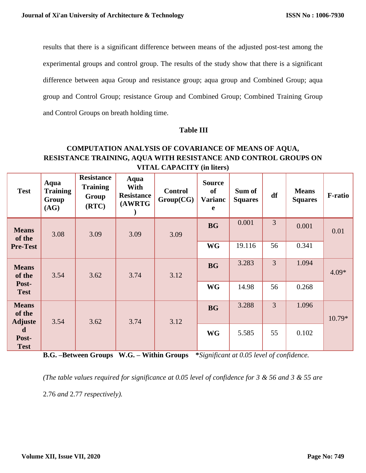results that there is a significant difference between means of the adjusted post-test among the experimental groups and control group. The results of the study show that there is a significant difference between aqua Group and resistance group; aqua group and Combined Group; aqua group and Control Group; resistance Group and Combined Group; Combined Training Group and Control Groups on breath holding time.

## **Table III**

# **COMPUTATION ANALYSIS OF COVARIANCE OF MEANS OF AQUA, RESISTANCE TRAINING, AQUA WITH RESISTANCE AND CONTROL GROUPS ON VITAL CAPACITY (in liters)**

| <b>Test</b>                              | Aqua<br><b>Training</b><br>Group<br>(AG) | <b>Resistance</b><br><b>Training</b><br>Group<br>(RTC) | Aqua<br>With<br><b>Resistance</b><br>(AWRTG | <b>Control</b><br>Group(CG) | <b>Source</b><br><b>of</b><br><b>Varianc</b><br>e | Sum of<br><b>Squares</b> | df             | <b>Means</b><br><b>Squares</b> | <b>F-ratio</b> |
|------------------------------------------|------------------------------------------|--------------------------------------------------------|---------------------------------------------|-----------------------------|---------------------------------------------------|--------------------------|----------------|--------------------------------|----------------|
| <b>Means</b><br>of the                   | 3.08                                     | 3.09                                                   | 3.09                                        | 3.09                        | <b>BG</b>                                         | 0.001                    | $\overline{3}$ | 0.001                          | 0.01           |
| <b>Pre-Test</b>                          |                                          |                                                        |                                             |                             | <b>WG</b>                                         | 19.116                   | 56             | 0.341                          |                |
| <b>Means</b><br>of the                   | 3.54                                     | 3.62                                                   | 3.74                                        | 3.12                        | <b>BG</b>                                         | 3.283                    | $\overline{3}$ | 1.094                          | $4.09*$        |
| Post-<br><b>Test</b>                     |                                          |                                                        |                                             |                             | <b>WG</b>                                         | 14.98                    | 56             | 0.268                          |                |
| <b>Means</b><br>of the<br><b>Adjuste</b> | 3.54                                     | 3.62                                                   | 3.74                                        | 3.12                        | <b>BG</b>                                         | 3.288                    | $\overline{3}$ | 1.096                          | 10.79*         |
| d<br>Post-<br><b>Test</b>                |                                          |                                                        |                                             |                             | <b>WG</b>                                         | 5.585                    | 55             | 0.102                          |                |

**B.G. –Between Groups W.G. – Within Groups \****Significant at 0.05 level of confidence.*

*(The table values required for significance at 0.05 level of confidence for 3 & 56 and 3 & 55 are*  2.76 *and* 2.77 *respectively).*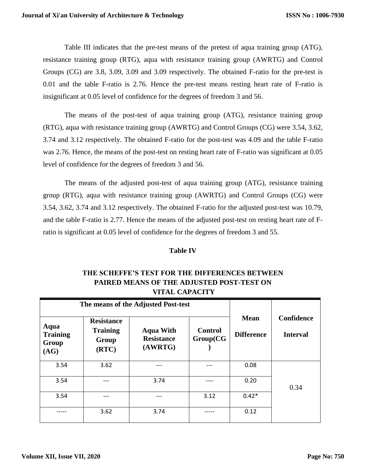Table III indicates that the pre-test means of the pretest of aqua training group (ATG), resistance training group (RTG), aqua with resistance training group (AWRTG) and Control Groups (CG) are 3.8, 3.09, 3.09 and 3.09 respectively. The obtained F-ratio for the pre-test is 0.01 and the table F-ratio is 2.76. Hence the pre-test means resting heart rate of F-ratio is insignificant at 0.05 level of confidence for the degrees of freedom 3 and 56.

The means of the post-test of aqua training group (ATG), resistance training group (RTG), aqua with resistance training group (AWRTG) and Control Groups (CG) were 3.54, 3.62, 3.74 and 3.12 respectively. The obtained F-ratio for the post-test was 4.09 and the table F-ratio was 2.76. Hence, the means of the post-test on resting heart rate of F-ratio was significant at 0.05 level of confidence for the degrees of freedom 3 and 56.

The means of the adjusted post-test of aqua training group (ATG), resistance training group (RTG), aqua with resistance training group (AWRTG) and Control Groups (CG) were 3.54, 3.62, 3.74 and 3.12 respectively. The obtained F-ratio for the adjusted post-test was 10.79, and the table F-ratio is 2.77. Hence the means of the adjusted post-test on resting heart rate of Fratio is significant at 0.05 level of confidence for the degrees of freedom 3 and 55.

### **Table IV**

| THE SCHEFFE'S TEST FOR THE DIFFERENCES BETWEEN |
|------------------------------------------------|
| PAIRED MEANS OF THE ADJUSTED POST-TEST ON      |
| <b>VITAL CAPACITY</b>                          |

|                                          |                                                        | The means of the Adjusted Post-test              |                             |                                  |                               |
|------------------------------------------|--------------------------------------------------------|--------------------------------------------------|-----------------------------|----------------------------------|-------------------------------|
| Aqua<br><b>Training</b><br>Group<br>(AG) | <b>Resistance</b><br><b>Training</b><br>Group<br>(RTC) | <b>Aqua With</b><br><b>Resistance</b><br>(AWRTG) | <b>Control</b><br>Group(CG) | <b>Mean</b><br><b>Difference</b> | Confidence<br><b>Interval</b> |
| 3.54                                     | 3.62                                                   |                                                  |                             | 0.08                             |                               |
| 3.54                                     |                                                        | 3.74                                             |                             | 0.20                             | 0.34                          |
| 3.54                                     | ---                                                    | ---                                              | 3.12                        | $0.42*$                          |                               |
|                                          | 3.62                                                   | 3.74                                             |                             | 0.12                             |                               |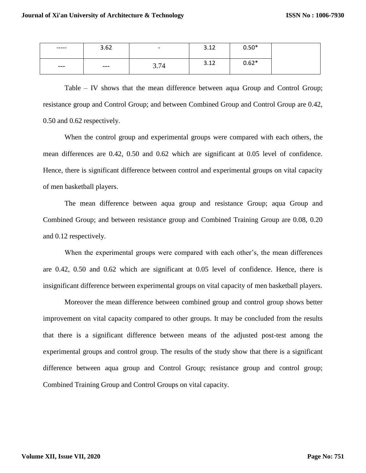| ------ | 3.62  | $\overline{\phantom{0}}$ | 2.12<br>ے ۔ ب | $0.50*$ |
|--------|-------|--------------------------|---------------|---------|
| $---$  | $---$ | 3.74                     | ำ 1ำ<br>ے ۔ ب | $0.62*$ |

Table – IV shows that the mean difference between aqua Group and Control Group; resistance group and Control Group; and between Combined Group and Control Group are 0.42, 0.50 and 0.62 respectively.

When the control group and experimental groups were compared with each others, the mean differences are 0.42, 0.50 and 0.62 which are significant at 0.05 level of confidence. Hence, there is significant difference between control and experimental groups on vital capacity of men basketball players.

The mean difference between aqua group and resistance Group; aqua Group and Combined Group; and between resistance group and Combined Training Group are 0.08, 0.20 and 0.12 respectively.

When the experimental groups were compared with each other's, the mean differences are 0.42, 0.50 and 0.62 which are significant at 0.05 level of confidence. Hence, there is insignificant difference between experimental groups on vital capacity of men basketball players.

Moreover the mean difference between combined group and control group shows better improvement on vital capacity compared to other groups. It may be concluded from the results that there is a significant difference between means of the adjusted post-test among the experimental groups and control group. The results of the study show that there is a significant difference between aqua group and Control Group; resistance group and control group; Combined Training Group and Control Groups on vital capacity.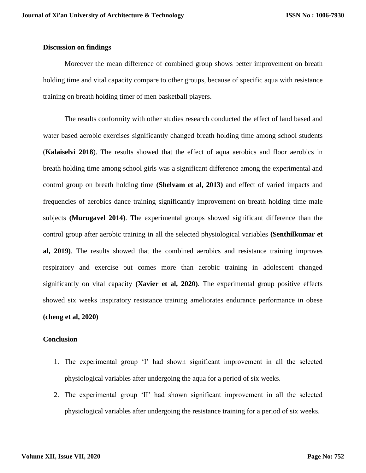#### **Discussion on findings**

Moreover the mean difference of combined group shows better improvement on breath holding time and vital capacity compare to other groups, because of specific aqua with resistance training on breath holding timer of men basketball players.

The results conformity with other studies research conducted the effect of land based and water based aerobic exercises significantly changed breath holding time among school students (**Kalaiselvi 2018**). The results showed that the effect of aqua aerobics and floor aerobics in breath holding time among school girls was a significant difference among the experimental and control group on breath holding time **(Shelvam et al, 2013)** and effect of varied impacts and frequencies of aerobics dance training significantly improvement on breath holding time male subjects **(Murugavel 2014)**. The experimental groups showed significant difference than the control group after aerobic training in all the selected physiological variables **(Senthilkumar et al, 2019)**. The results showed that the combined aerobics and resistance training improves respiratory and exercise out comes more than aerobic training in adolescent changed significantly on vital capacity **(Xavier et al, 2020)**. The experimental group positive effects showed six weeks inspiratory resistance training ameliorates endurance performance in obese **(cheng et al, 2020)**

#### **Conclusion**

- 1. The experimental group 'I' had shown significant improvement in all the selected physiological variables after undergoing the aqua for a period of six weeks.
- 2. The experimental group 'II' had shown significant improvement in all the selected physiological variables after undergoing the resistance training for a period of six weeks.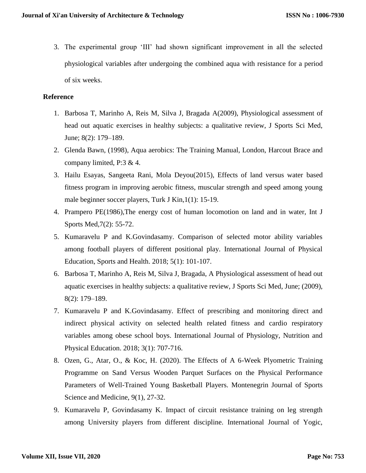3. The experimental group 'III' had shown significant improvement in all the selected physiological variables after undergoing the combined aqua with resistance for a period of six weeks.

### **Reference**

- 1. Barbosa T, Marinho A, Reis M, Silva J, Bragada A(2009), Physiological assessment of head out aquatic exercises in healthy subjects: a qualitative review, J Sports Sci Med, June; 8(2): 179–189.
- 2. Glenda Bawn, (1998), Aqua aerobics: The Training Manual, London, Harcout Brace and company limited, P:3 & 4.
- 3. Hailu Esayas, Sangeeta Rani, Mola Deyou(2015), Effects of land versus water based fitness program in improving aerobic fitness, muscular strength and speed among young male beginner soccer players, Turk J Kin,1(1): 15-19.
- 4. Prampero PE(1986),The energy cost of human locomotion on land and in water, Int J Sports Med,7(2): 55-72.
- 5. Kumaravelu P and K.Govindasamy. Comparison of selected motor ability variables among football players of different positional play. International Journal of Physical Education, Sports and Health. 2018; 5(1): 101-107.
- 6. Barbosa T, Marinho A, Reis M, Silva J, Bragada, A Physiological assessment of head out aquatic exercises in healthy subjects: a qualitative review, J Sports Sci Med, June; (2009), 8(2): 179–189.
- 7. Kumaravelu P and K.Govindasamy. Effect of prescribing and monitoring direct and indirect physical activity on selected health related fitness and cardio respiratory variables among obese school boys. International Journal of Physiology, Nutrition and Physical Education. 2018; 3(1): 707-716.
- 8. Ozen, G., Atar, O., & Koc, H. (2020). The Effects of A 6-Week Plyometric Training Programme on Sand Versus Wooden Parquet Surfaces on the Physical Performance Parameters of Well-Trained Young Basketball Players. Montenegrin Journal of Sports Science and Medicine, 9(1), 27-32.
- 9. Kumaravelu P, Govindasamy K. Impact of circuit resistance training on leg strength among University players from different discipline. International Journal of Yogic,